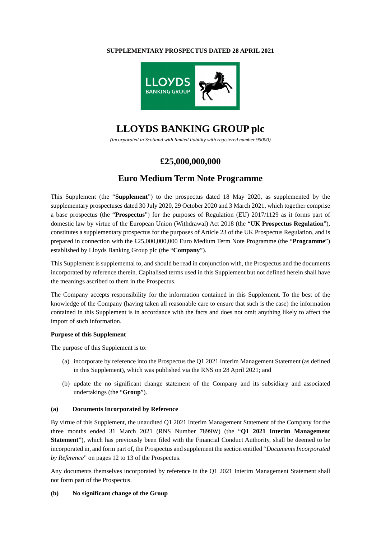### **SUPPLEMENTARY PROSPECTUS DATED 28 APRIL 2021**



# **LLOYDS BANKING GROUP plc**

*(incorporated in Scotland with limited liability with registered number 95000)* 

### **£25,000,000,000**

## **Euro Medium Term Note Programme**

This Supplement (the "**Supplement**") to the prospectus dated 18 May 2020, as supplemented by the supplementary prospectuses dated 30 July 2020, 29 October 2020 and 3 March 2021, which together comprise a base prospectus (the "**Prospectus**") for the purposes of Regulation (EU) 2017/1129 as it forms part of domestic law by virtue of the European Union (Withdrawal) Act 2018 (the "**UK Prospectus Regulation**"), constitutes a supplementary prospectus for the purposes of Article 23 of the UK Prospectus Regulation, and is prepared in connection with the £25,000,000,000 Euro Medium Term Note Programme (the "**Programme**") established by Lloyds Banking Group plc (the "**Company**").

This Supplement is supplemental to, and should be read in conjunction with, the Prospectus and the documents incorporated by reference therein. Capitalised terms used in this Supplement but not defined herein shall have the meanings ascribed to them in the Prospectus.

The Company accepts responsibility for the information contained in this Supplement. To the best of the knowledge of the Company (having taken all reasonable care to ensure that such is the case) the information contained in this Supplement is in accordance with the facts and does not omit anything likely to affect the import of such information.

### **Purpose of this Supplement**

The purpose of this Supplement is to:

- (a) incorporate by reference into the Prospectus the Q1 2021 Interim Management Statement (as defined in this Supplement), which was published via the RNS on 28 April 2021; and
- (b) update the no significant change statement of the Company and its subsidiary and associated undertakings (the "**Group**").

### **(a) Documents Incorporated by Reference**

By virtue of this Supplement, the unaudited Q1 2021 Interim Management Statement of the Company for the three months ended 31 March 2021 (RNS Number 7899W) (the "**Q1 2021 Interim Management Statement**"), which has previously been filed with the Financial Conduct Authority, shall be deemed to be incorporated in, and form part of, the Prospectus and supplement the section entitled "*Documents Incorporated by Reference*" on pages 12 to 13 of the Prospectus.

Any documents themselves incorporated by reference in the Q1 2021 Interim Management Statement shall not form part of the Prospectus.

### **(b) No significant change of the Group**